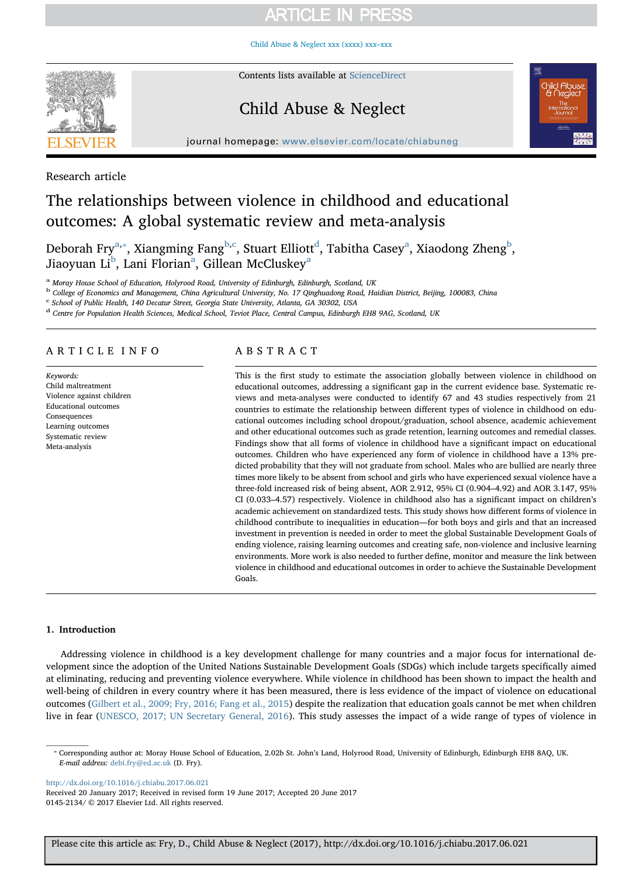### **ARTICLE IN PRESS**

[Child Abuse & Neglect xxx \(xxxx\) xxx–xxx](http://dx.doi.org/10.1016/j.chiabu.2017.06.021)



Contents lists available at [ScienceDirect](http://www.sciencedirect.com/science/journal/01452134)

# Child Abuse & Neglect



journal homepage: [www.elsevier.com/locate/chiabuneg](http://www.elsevier.com/locate/chiabuneg)

Research article

## The relationships between violence in childhood and educational outcomes: A global systematic review and meta-analysis

Deborah Fry $^{a,*}$ , Xiangming Fang $^{b,c}$ , Stuart Elliott $^d$ , Tabitha Casey $^a$ , Xiaodong Zheng $^b$ , Jiaoyuan Li<sup>b</sup>, Lani Florian<sup>a</sup>, Gillean McCluskey<sup>a</sup>

<sup>a</sup> Moray House School of Education, Holyrood Road, University of Edinburgh, Edinburgh, Scotland, UK

<sup>b</sup> College of Economics and Management, China Agricultural University, No. 17 Qinghuadong Road, Haidian District, Beijing, 100083, China

<sup>c</sup> School of Public Health, 140 Decatur Street, Georgia State University, Atlanta, GA 30302, USA

<sup>d</sup> Centre for Population Health Sciences, Medical School, Teviot Place, Central Campus, Edinburgh EH8 9AG, Scotland, UK

### ARTICLE INFO

Keywords: Child maltreatment Violence against children Educational outcomes Consequences Learning outcomes Systematic review Meta-analysis

### ABSTRACT

This is the first study to estimate the association globally between violence in childhood on educational outcomes, addressing a significant gap in the current evidence base. Systematic reviews and meta-analyses were conducted to identify 67 and 43 studies respectively from 21 countries to estimate the relationship between different types of violence in childhood on educational outcomes including school dropout/graduation, school absence, academic achievement and other educational outcomes such as grade retention, learning outcomes and remedial classes. Findings show that all forms of violence in childhood have a significant impact on educational outcomes. Children who have experienced any form of violence in childhood have a 13% predicted probability that they will not graduate from school. Males who are bullied are nearly three times more likely to be absent from school and girls who have experienced sexual violence have a three-fold increased risk of being absent, AOR 2.912, 95% CI (0.904–4.92) and AOR 3.147, 95% CI (0.033–4.57) respectively. Violence in childhood also has a significant impact on children's academic achievement on standardized tests. This study shows how different forms of violence in childhood contribute to inequalities in education—for both boys and girls and that an increased investment in prevention is needed in order to meet the global Sustainable Development Goals of ending violence, raising learning outcomes and creating safe, non-violence and inclusive learning environments. More work is also needed to further define, monitor and measure the link between violence in childhood and educational outcomes in order to achieve the Sustainable Development Goals.

### 1. Introduction

Addressing violence in childhood is a key development challenge for many countries and a major focus for international development since the adoption of the United Nations Sustainable Development Goals (SDGs) which include targets specifically aimed at eliminating, reducing and preventing violence everywhere. While violence in childhood has been shown to impact the health and well-being of children in every country where it has been measured, there is less evidence of the impact of violence on educational outcomes (Gilbert et al., 2009; Fry, 2016; Fang et al., 2015) despite the realization that education goals cannot be met when children live in fear (UNESCO, 2017; UN Secretary General, 2016). This study assesses the impact of a wide range of types of violence in

⁎ Corresponding author at: Moray House School of Education, 2.02b St. John's Land, Holyrood Road, University of Edinburgh, Edinburgh EH8 8AQ, UK. E-mail address: [debi.fry@ed.ac.uk](mailto:debi.fry@ed.ac.uk) (D. Fry).

<http://dx.doi.org/10.1016/j.chiabu.2017.06.021>

Received 20 January 2017; Received in revised form 19 June 2017; Accepted 20 June 2017 0145-2134/ © 2017 Elsevier Ltd. All rights reserved.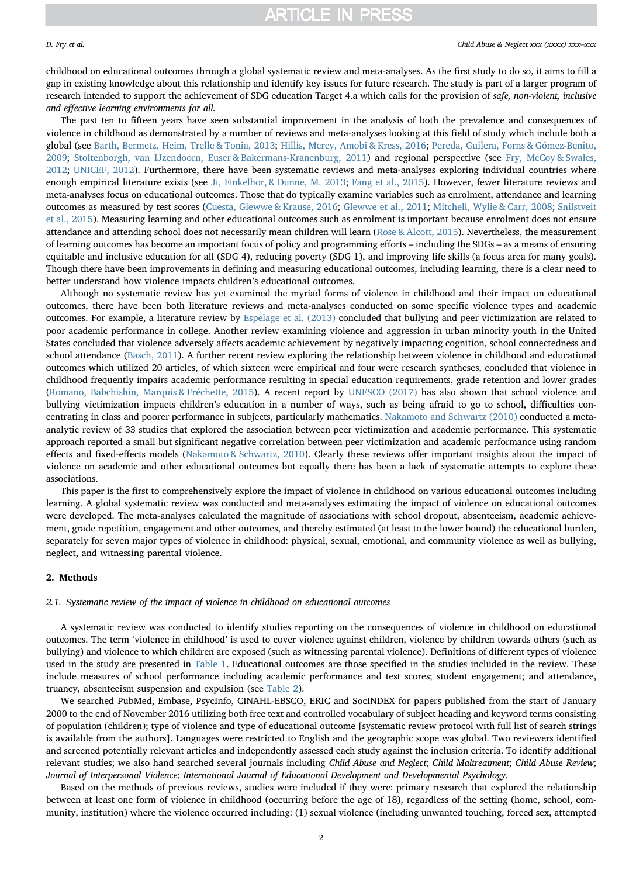### **ARTICLE IN PRESS**

#### D. Fry et al. *Child Abuse & Neglect xxx (xxxx) xxx–xxx*

childhood on educational outcomes through a global systematic review and meta-analyses. As the first study to do so, it aims to fill a gap in existing knowledge about this relationship and identify key issues for future research. The study is part of a larger program of research intended to support the achievement of SDG education Target 4.a which calls for the provision of safe, non-violent, inclusive and effective learning environments for all.

The past ten to fifteen years have seen substantial improvement in the analysis of both the prevalence and consequences of violence in childhood as demonstrated by a number of reviews and meta-analyses looking at this field of study which include both a global (see Barth, Bermetz, Heim, Trelle & Tonia, 2013; Hillis, Mercy, Amobi & Kress, 2016; Pereda, Guilera, Forns & Gómez-Benito, 2009; Stoltenborgh, van IJzendoorn, Euser & Bakermans-Kranenburg, 2011) and regional perspective (see Fry, McCoy & Swales, 2012; UNICEF, 2012). Furthermore, there have been systematic reviews and meta-analyses exploring individual countries where enough empirical literature exists (see Ji, Finkelhor, & Dunne, M. 2013; Fang et al., 2015). However, fewer literature reviews and meta-analyses focus on educational outcomes. Those that do typically examine variables such as enrolment, attendance and learning outcomes as measured by test scores (Cuesta, Glewwe & Krause, 2016; Glewwe et al., 2011; Mitchell, Wylie & Carr, 2008; Snilstveit et al., 2015). Measuring learning and other educational outcomes such as enrolment is important because enrolment does not ensure attendance and attending school does not necessarily mean children will learn (Rose & Alcott, 2015). Nevertheless, the measurement of learning outcomes has become an important focus of policy and programming efforts – including the SDGs – as a means of ensuring equitable and inclusive education for all (SDG 4), reducing poverty (SDG 1), and improving life skills (a focus area for many goals). Though there have been improvements in defining and measuring educational outcomes, including learning, there is a clear need to better understand how violence impacts children's educational outcomes.

Although no systematic review has yet examined the myriad forms of violence in childhood and their impact on educational outcomes, there have been both literature reviews and meta-analyses conducted on some specific violence types and academic outcomes. For example, a literature review by Espelage et al. (2013) concluded that bullying and peer victimization are related to poor academic performance in college. Another review examining violence and aggression in urban minority youth in the United States concluded that violence adversely affects academic achievement by negatively impacting cognition, school connectedness and school attendance (Basch, 2011). A further recent review exploring the relationship between violence in childhood and educational outcomes which utilized 20 articles, of which sixteen were empirical and four were research syntheses, concluded that violence in childhood frequently impairs academic performance resulting in special education requirements, grade retention and lower grades (Romano, Babchishin, Marquis & Fréchette, 2015). A recent report by UNESCO (2017) has also shown that school violence and bullying victimization impacts children's education in a number of ways, such as being afraid to go to school, difficulties concentrating in class and poorer performance in subjects, particularly mathematics. Nakamoto and Schwartz (2010) conducted a metaanalytic review of 33 studies that explored the association between peer victimization and academic performance. This systematic approach reported a small but significant negative correlation between peer victimization and academic performance using random effects and fixed-effects models (Nakamoto & Schwartz, 2010). Clearly these reviews offer important insights about the impact of violence on academic and other educational outcomes but equally there has been a lack of systematic attempts to explore these associations.

This paper is the first to comprehensively explore the impact of violence in childhood on various educational outcomes including learning. A global systematic review was conducted and meta-analyses estimating the impact of violence on educational outcomes were developed. The meta-analyses calculated the magnitude of associations with school dropout, absenteeism, academic achievement, grade repetition, engagement and other outcomes, and thereby estimated (at least to the lower bound) the educational burden, separately for seven major types of violence in childhood: physical, sexual, emotional, and community violence as well as bullying, neglect, and witnessing parental violence.

### 2. Methods

#### 2.1. Systematic review of the impact of violence in childhood on educational outcomes

A systematic review was conducted to identify studies reporting on the consequences of violence in childhood on educational outcomes. The term 'violence in childhood' is used to cover violence against children, violence by children towards others (such as bullying) and violence to which children are exposed (such as witnessing parental violence). Definitions of different types of violence used in the study are presented in Table 1. Educational outcomes are those specified in the studies included in the review. These include measures of school performance including academic performance and test scores; student engagement; and attendance, truancy, absenteeism suspension and expulsion (see Table 2).

We searched PubMed, Embase, PsycInfo, CINAHL-EBSCO, ERIC and SocINDEX for papers published from the start of January 2000 to the end of November 2016 utilizing both free text and controlled vocabulary of subject heading and keyword terms consisting of population (children); type of violence and type of educational outcome [systematic review protocol with full list of search strings is available from the authors]. Languages were restricted to English and the geographic scope was global. Two reviewers identified and screened potentially relevant articles and independently assessed each study against the inclusion criteria. To identify additional relevant studies; we also hand searched several journals including Child Abuse and Neglect; Child Maltreatment; Child Abuse Review; Journal of Interpersonal Violence; International Journal of Educational Development and Developmental Psychology.

Based on the methods of previous reviews, studies were included if they were: primary research that explored the relationship between at least one form of violence in childhood (occurring before the age of 18), regardless of the setting (home, school, community, institution) where the violence occurred including: (1) sexual violence (including unwanted touching, forced sex, attempted